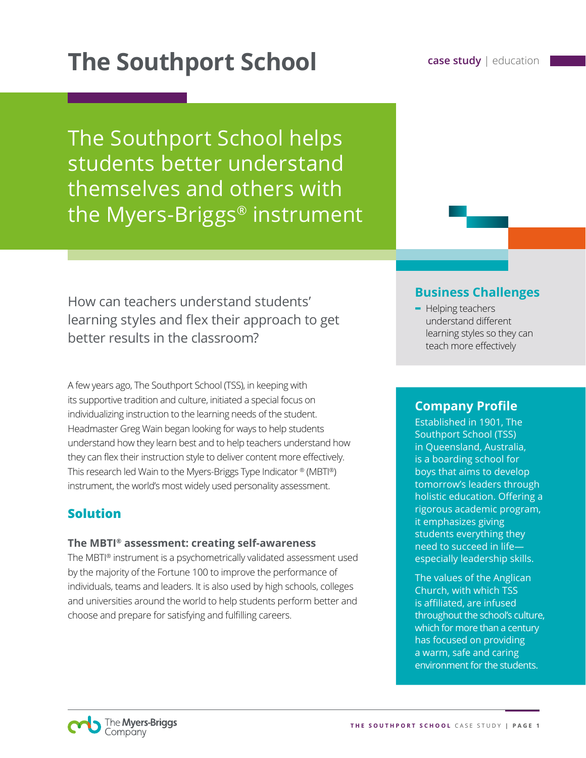# **The Southport School case study** | education

The Southport School helps students better understand themselves and others with the Myers-Briggs® instrument

How can teachers understand students' learning styles and flex their approach to get better results in the classroom?

A few years ago, The Southport School (TSS), in keeping with its supportive tradition and culture, initiated a special focus on individualizing instruction to the learning needs of the student. Headmaster Greg Wain began looking for ways to help students understand how they learn best and to help teachers understand how they can flex their instruction style to deliver content more effectively. This research led Wain to the Myers-Briggs Type Indicator ® (MBTI®) instrument, the world's most widely used personality assessment.

## **Solution**

#### **The MBTI® assessment: creating self-awareness**

The MBTI® instrument is a psychometrically validated assessment used by the majority of the Fortune 100 to improve the performance of individuals, teams and leaders. It is also used by high schools, colleges and universities around the world to help students perform better and choose and prepare for satisfying and fulfilling careers.

## **Business Challenges**

**-** Helping teachers understand different learning styles so they can teach more effectively

## **Company Profile**

Established in 1901, The Southport School (TSS) in Queensland, Australia, is a boarding school for boys that aims to develop tomorrow's leaders through holistic education. Offering a rigorous academic program, it emphasizes giving students everything they need to succeed in life especially leadership skills.

The values of the Anglican Church, with which TSS is affiliated, are infused throughout the school's culture, which for more than a century has focused on providing a warm, safe and caring environment for the students.

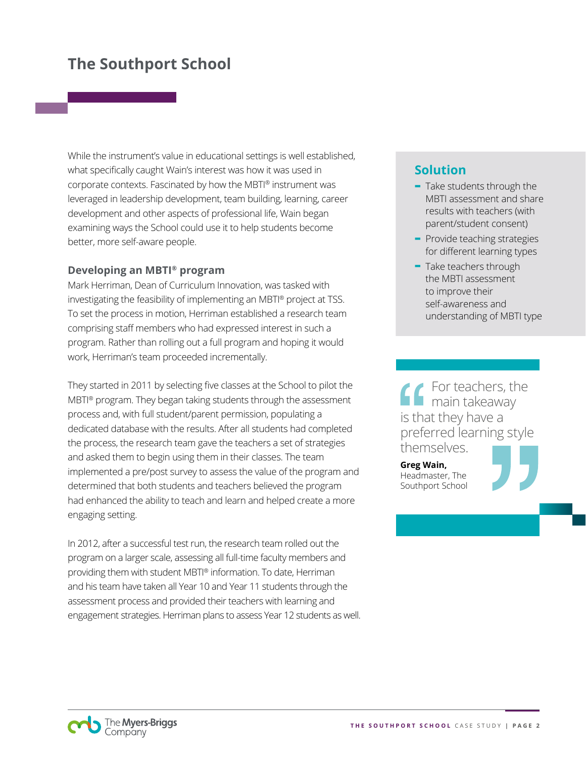While the instrument's value in educational settings is well established, what specifically caught Wain's interest was how it was used in corporate contexts. Fascinated by how the MBTI® instrument was leveraged in leadership development, team building, learning, career development and other aspects of professional life, Wain began examining ways the School could use it to help students become better, more self-aware people.

#### **Developing an MBTI® program**

Mark Herriman, Dean of Curriculum Innovation, was tasked with investigating the feasibility of implementing an MBTI® project at TSS. To set the process in motion, Herriman established a research team comprising staff members who had expressed interest in such a program. Rather than rolling out a full program and hoping it would work, Herriman's team proceeded incrementally.

They started in 2011 by selecting five classes at the School to pilot the MBTI® program. They began taking students through the assessment process and, with full student/parent permission, populating a dedicated database with the results. After all students had completed the process, the research team gave the teachers a set of strategies and asked them to begin using them in their classes. The team implemented a pre/post survey to assess the value of the program and determined that both students and teachers believed the program had enhanced the ability to teach and learn and helped create a more engaging setting.

In 2012, after a successful test run, the research team rolled out the program on a larger scale, assessing all full-time faculty members and providing them with student MBTI® information. To date, Herriman and his team have taken all Year 10 and Year 11 students through the assessment process and provided their teachers with learning and engagement strategies. Herriman plans to assess Year 12 students as well.

## **Solution**

- **-** Take students through the MBTI assessment and share results with teachers (with parent/student consent)
- **-** Provide teaching strategies for different learning types
- **-** Take teachers through the MBTI assessment to improve their self-awareness and understanding of MBTI type

For teachers, the main takeaway is that they have a preferred learning style themselves.

**Greg Wain,**  Headmaster, The Southport School



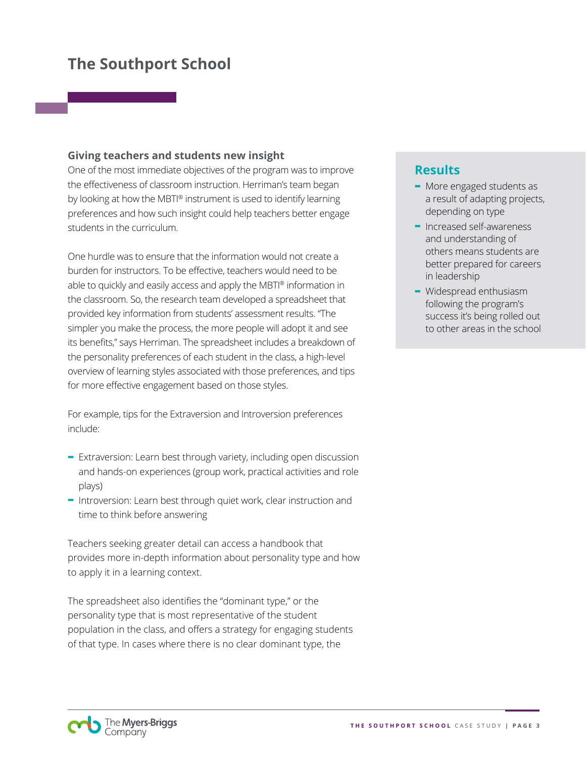#### **Giving teachers and students new insight**

One of the most immediate objectives of the program was to improve the effectiveness of classroom instruction. Herriman's team began by looking at how the MBTI® instrument is used to identify learning preferences and how such insight could help teachers better engage students in the curriculum.

One hurdle was to ensure that the information would not create a burden for instructors. To be effective, teachers would need to be able to quickly and easily access and apply the MBTI® information in the classroom. So, the research team developed a spreadsheet that provided key information from students' assessment results. "The simpler you make the process, the more people will adopt it and see its benefits," says Herriman. The spreadsheet includes a breakdown of the personality preferences of each student in the class, a high-level overview of learning styles associated with those preferences, and tips for more effective engagement based on those styles.

For example, tips for the Extraversion and Introversion preferences include:

- **-** Extraversion: Learn best through variety, including open discussion and hands-on experiences (group work, practical activities and role plays)
- **-** Introversion: Learn best through quiet work, clear instruction and time to think before answering

Teachers seeking greater detail can access a handbook that provides more in-depth information about personality type and how to apply it in a learning context.

The spreadsheet also identifies the "dominant type," or the personality type that is most representative of the student population in the class, and offers a strategy for engaging students of that type. In cases where there is no clear dominant type, the

### **Results**

- **-** More engaged students as a result of adapting projects, depending on type
- **-** Increased self-awareness and understanding of others means students are better prepared for careers in leadership
- **-** Widespread enthusiasm following the program's success it's being rolled out to other areas in the school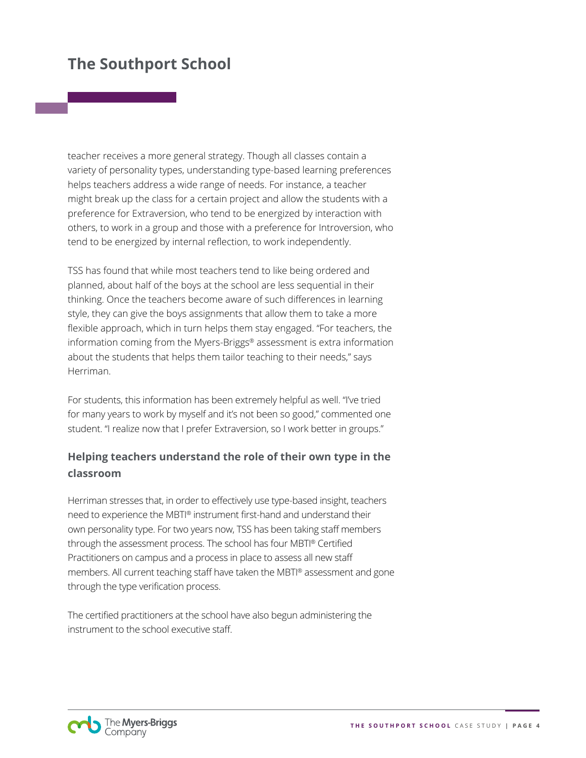teacher receives a more general strategy. Though all classes contain a variety of personality types, understanding type-based learning preferences helps teachers address a wide range of needs. For instance, a teacher might break up the class for a certain project and allow the students with a preference for Extraversion, who tend to be energized by interaction with others, to work in a group and those with a preference for Introversion, who tend to be energized by internal reflection, to work independently.

TSS has found that while most teachers tend to like being ordered and planned, about half of the boys at the school are less sequential in their thinking. Once the teachers become aware of such differences in learning style, they can give the boys assignments that allow them to take a more flexible approach, which in turn helps them stay engaged. "For teachers, the information coming from the Myers-Briggs® assessment is extra information about the students that helps them tailor teaching to their needs," says Herriman.

For students, this information has been extremely helpful as well. "I've tried for many years to work by myself and it's not been so good," commented one student. "I realize now that I prefer Extraversion, so I work better in groups."

## **Helping teachers understand the role of their own type in the classroom**

Herriman stresses that, in order to effectively use type-based insight, teachers need to experience the MBTI® instrument first-hand and understand their own personality type. For two years now, TSS has been taking staff members through the assessment process. The school has four MBTI® Certified Practitioners on campus and a process in place to assess all new staff members. All current teaching staff have taken the MBTI® assessment and gone through the type verification process.

The certified practitioners at the school have also begun administering the instrument to the school executive staff.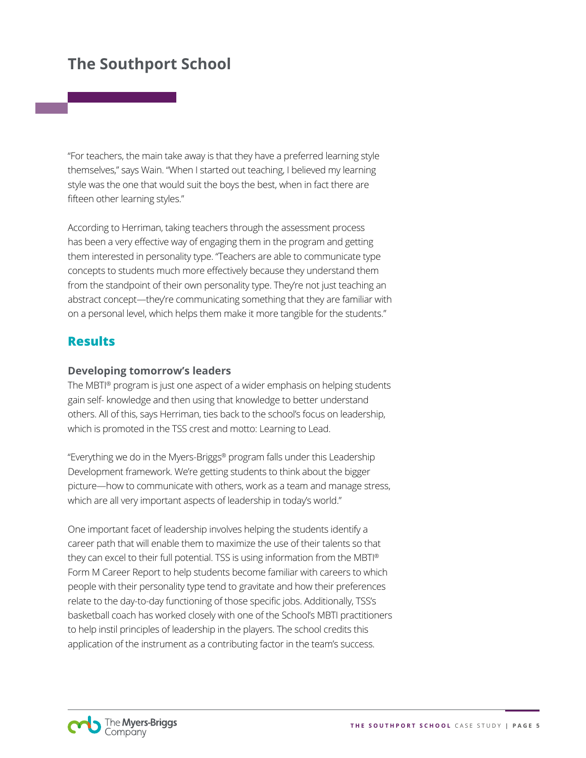"For teachers, the main take away is that they have a preferred learning style themselves," says Wain. "When I started out teaching, I believed my learning style was the one that would suit the boys the best, when in fact there are fifteen other learning styles."

According to Herriman, taking teachers through the assessment process has been a very effective way of engaging them in the program and getting them interested in personality type. "Teachers are able to communicate type concepts to students much more effectively because they understand them from the standpoint of their own personality type. They're not just teaching an abstract concept—they're communicating something that they are familiar with on a personal level, which helps them make it more tangible for the students."

### **Results**

#### **Developing tomorrow's leaders**

The MBTI® program is just one aspect of a wider emphasis on helping students gain self- knowledge and then using that knowledge to better understand others. All of this, says Herriman, ties back to the school's focus on leadership, which is promoted in the TSS crest and motto: Learning to Lead.

"Everything we do in the Myers-Briggs® program falls under this Leadership Development framework. We're getting students to think about the bigger picture—how to communicate with others, work as a team and manage stress, which are all very important aspects of leadership in today's world."

One important facet of leadership involves helping the students identify a career path that will enable them to maximize the use of their talents so that they can excel to their full potential. TSS is using information from the MBTI® Form M Career Report to help students become familiar with careers to which people with their personality type tend to gravitate and how their preferences relate to the day-to-day functioning of those specific jobs. Additionally, TSS's basketball coach has worked closely with one of the School's MBTI practitioners to help instil principles of leadership in the players. The school credits this application of the instrument as a contributing factor in the team's success.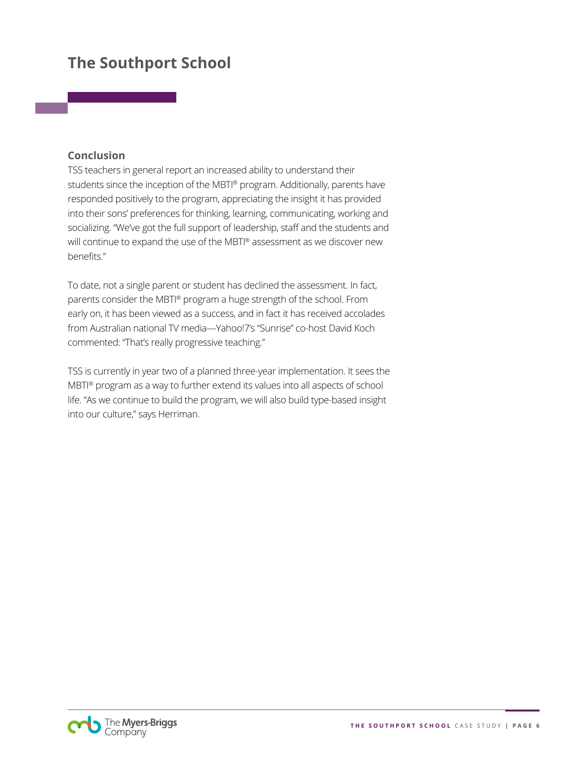#### **Conclusion**

TSS teachers in general report an increased ability to understand their students since the inception of the MBTI® program. Additionally, parents have responded positively to the program, appreciating the insight it has provided into their sons' preferences for thinking, learning, communicating, working and socializing. "We've got the full support of leadership, staff and the students and will continue to expand the use of the MBTI® assessment as we discover new benefits."

To date, not a single parent or student has declined the assessment. In fact, parents consider the MBTI® program a huge strength of the school. From early on, it has been viewed as a success, and in fact it has received accolades from Australian national TV media—Yahoo!7's "Sunrise" co-host David Koch commented: "That's really progressive teaching."

TSS is currently in year two of a planned three-year implementation. It sees the MBTI® program as a way to further extend its values into all aspects of school life. "As we continue to build the program, we will also build type-based insight into our culture," says Herriman.